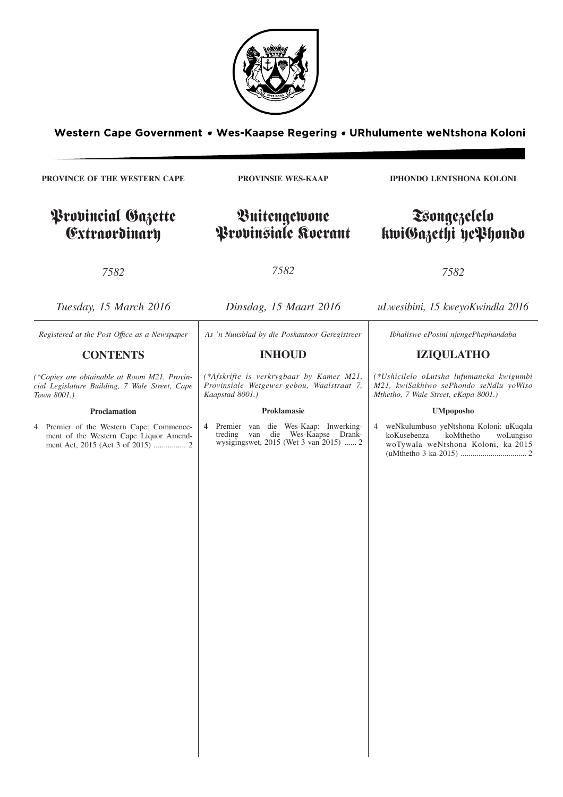

Western Cape Government . Wes-Kaapse Regering . URhulumente weNtshona Koloni

**PROVINCE OF THE WESTERN CAPE**

# Provincial Gazette Extraordinary

**PROVINSIE WES-KAAP**

Buitengewone Provinsiale Koerant **IPHONDO LENTSHONA KOLONI**

# Tsongezelelo kwiGazethi yePhondo

*7582*

*7582*

*7582*

| Tuesday, 15 March 2016                                                                                        | Dinsdag, 15 Maart 2016                                                                                                      | uLwesibini, 15 kweyoKwindla 2016                                                                                                        |
|---------------------------------------------------------------------------------------------------------------|-----------------------------------------------------------------------------------------------------------------------------|-----------------------------------------------------------------------------------------------------------------------------------------|
| Registered at the Post Office as a Newspaper                                                                  | As 'n Nuusblad by die Poskantoor Geregistreer                                                                               | Ibhaliswe ePosini njengePhephandaba                                                                                                     |
| <b>CONTENTS</b>                                                                                               | <b>INHOUD</b>                                                                                                               | <b>IZIQULATHO</b>                                                                                                                       |
| (*Copies are obtainable at Room M21, Provin-<br>cial Legislature Building, 7 Wale Street, Cape<br>Town 8001.) | (*Afskrifte is verkrygbaar by Kamer M21,<br>Provinsiale Wetgewer-gebou, Waalstraat 7,<br>Kaapstad 8001.)                    | (*Ushicilelo oLutsha lufumaneka kwigumbi<br>M21, kwiSakhiwo sePhondo seNdlu yoWiso<br>Mthetho, 7 Wale Street, eKapa 8001.)              |
| Proclamation                                                                                                  | Proklamasie                                                                                                                 | <b>UMpoposho</b>                                                                                                                        |
| Premier of the Western Cape: Commence-<br>ment of the Western Cape Liquor Amend-                              | 4 Premier van die Wes-Kaap: Inwerking-<br>die Wes-Kaapse Drank-<br>treding<br>van<br>wysigingswet, 2015 (Wet 3 van 2015)  2 | weNkulumbuso yeNtshona Koloni: uKuqala<br>$\overline{4}$<br>koKusebenza<br>koMthetho<br>woLungiso<br>woTywala weNtshona Koloni, ka-2015 |